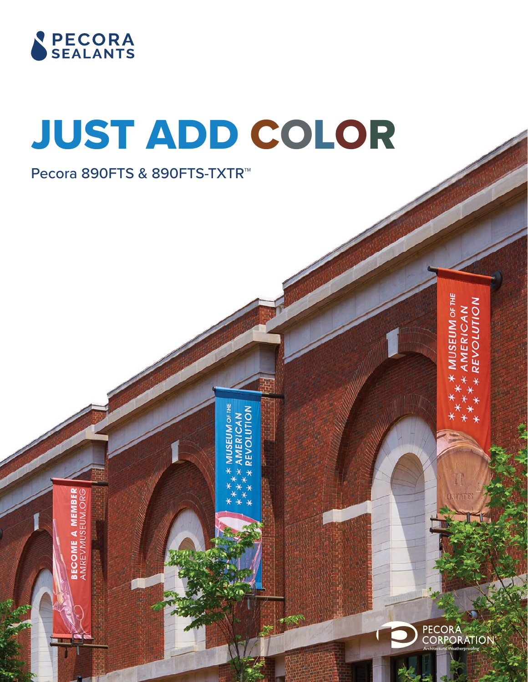

Õ

AMREVMUSEL **SECOME** 

# JUST ADD COLOR

**AMERICAN<br>REVOLUTION MUSEUM OF THE** 

Pecora 890FTS & 890FTS-TXTR™

**USEUM OF THE MERICAN<br>EVOLUTION** 

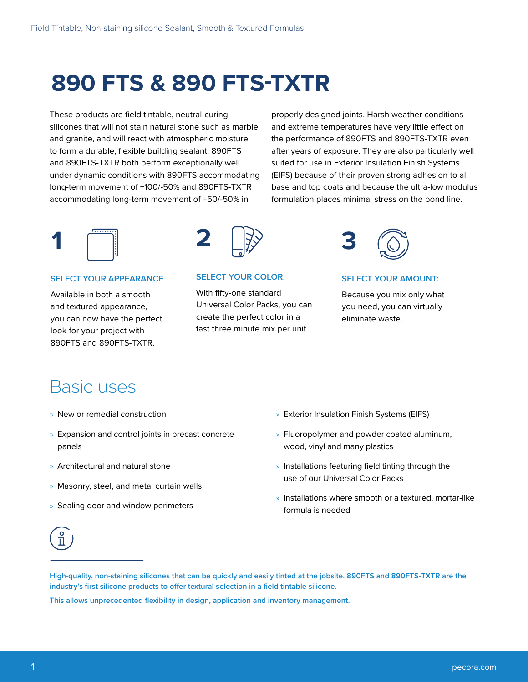## **890 FTS & 890 FTS-TXTR**

These products are field tintable, neutral-curing silicones that will not stain natural stone such as marble and granite, and will react with atmospheric moisture to form a durable, flexible building sealant. 890FTS and 890FTS-TXTR both perform exceptionally well under dynamic conditions with 890FTS accommodating long-term movement of +100/-50% and 890FTS-TXTR accommodating long-term movement of +50/-50% in

properly designed joints. Harsh weather conditions and extreme temperatures have very little effect on the performance of 890FTS and 890FTS-TXTR even after years of exposure. They are also particularly well suited for use in Exterior Insulation Finish Systems (EIFS) because of their proven strong adhesion to all base and top coats and because the ultra-low modulus formulation places minimal stress on the bond line.



### **SELECT YOUR APPEARANCE**

Available in both a smooth and textured appearance, you can now have the perfect look for your project with 890FTS and 890FTS-TXTR.



### **SELECT YOUR COLOR:**

With fifty-one standard Universal Color Packs, you can create the perfect color in a fast three minute mix per unit.



### **SELECT YOUR AMOUNT:**

Because you mix only what you need, you can virtually eliminate waste.

### Basic uses

- » New or remedial construction
- » Expansion and control joints in precast concrete panels
- » Architectural and natural stone
- » Masonry, steel, and metal curtain walls
- » Sealing door and window perimeters
- » Exterior Insulation Finish Systems (EIFS)
- » Fluoropolymer and powder coated aluminum, wood, vinyl and many plastics
- » Installations featuring field tinting through the use of our Universal Color Packs
- » Installations where smooth or a textured, mortar-like formula is needed



**High-quality, non-staining silicones that can be quickly and easily tinted at the jobsite. 890FTS and 890FTS-TXTR are the industry's first silicone products to offer textural selection in a field tintable silicone.**

**This allows unprecedented flexibility in design, application and inventory management.**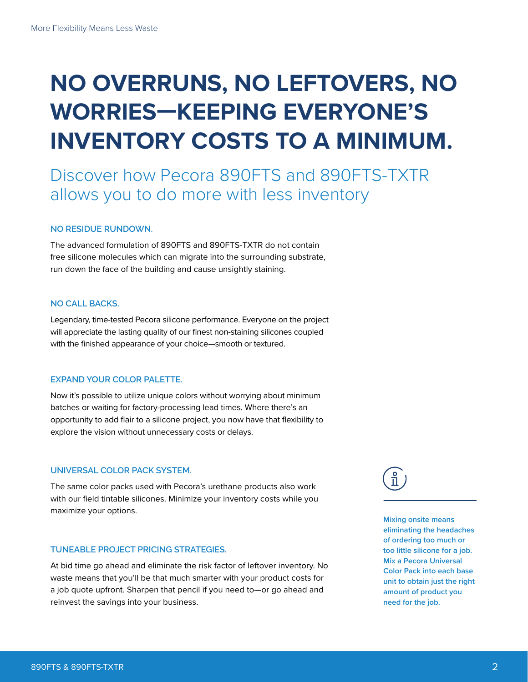## **NO OVERRUNS, NO LEFTOVERS, NO WORRIES—KEEPING EVERYONE'S INVENTORY COSTS TO A MINIMUM.**

### Discover how Pecora 890FTS and 890FTS-TXTR allows you to do more with less inventory

#### **NO RESIDUE RUNDOWN.**

The advanced formulation of 890FTS and 890FTS-TXTR do not contain free silicone molecules which can migrate into the surrounding substrate, run down the face of the building and cause unsightly staining.

### **NO CALL BACKS.**

Legendary, time-tested Pecora silicone performance. Everyone on the project will appreciate the lasting quality of our finest non-staining silicones coupled with the finished appearance of your choice—smooth or textured.

### **EXPAND YOUR COLOR PALETTE.**

Now it's possible to utilize unique colors without worrying about minimum batches or waiting for factory-processing lead times. Where there's an opportunity to add flair to a silicone project, you now have that flexibility to explore the vision without unnecessary costs or delays.

#### **UNIVERSAL COLOR PACK SYSTEM.**

The same color packs used with Pecora's urethane products also work with our field tintable silicones. Minimize your inventory costs while you maximize your options.

#### **TUNEABLE PROJECT PRICING STRATEGIES.**

At bid time go ahead and eliminate the risk factor of leftover inventory. No waste means that you'll be that much smarter with your product costs for a job quote upfront. Sharpen that pencil if you need to—or go ahead and reinvest the savings into your business.

 $\frac{1}{1}$ 

**Mixing onsite means eliminating the headaches of ordering too much or too little silicone for a job. Mix a Pecora Universal Color Pack into each base unit to obtain just the right amount of product you need for the job.**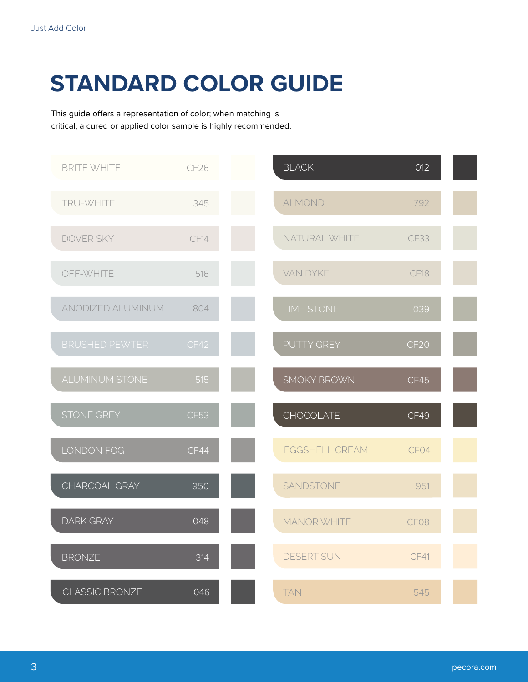## **STANDARD COLOR GUIDE**

This guide offers a representation of color; when matching is critical, a cured or applied color sample is highly recommended.

| <b>BRITE WHITE</b>    | CF <sub>26</sub> | <b>BLACK</b>          | 012         |  |
|-----------------------|------------------|-----------------------|-------------|--|
| TRU-WHITE             | 345              | <b>ALMOND</b>         | 792         |  |
| <b>DOVER SKY</b>      | CF14             | NATURAL WHITE         | <b>CF33</b> |  |
| OFF-WHITE             | 516              | <b>VAN DYKE</b>       | CF18        |  |
| ANODIZED ALUMINUM     | 804              | <b>LIME STONE</b>     | 039         |  |
| <b>BRUSHED PEWTER</b> | CF42             | PUTTY GREY            | <b>CF20</b> |  |
| <b>ALUMINUM STONE</b> | 515              | <b>SMOKY BROWN</b>    | CF45        |  |
| STONE GREY            | <b>CF53</b>      | <b>CHOCOLATE</b>      | CF49        |  |
| LONDON FOG            | CF44             | <b>EGGSHELL CREAM</b> | CF04        |  |
| CHARCOAL GRAY         | 950              | SANDSTONE             | 951         |  |
| <b>DARK GRAY</b>      | 048              | <b>MANOR WHITE</b>    | CF08        |  |
| <b>BRONZE</b>         | 314              | <b>DESERT SUN</b>     | CF41        |  |
| <b>CLASSIC BRONZE</b> | 046              | <b>TAN</b>            | 545         |  |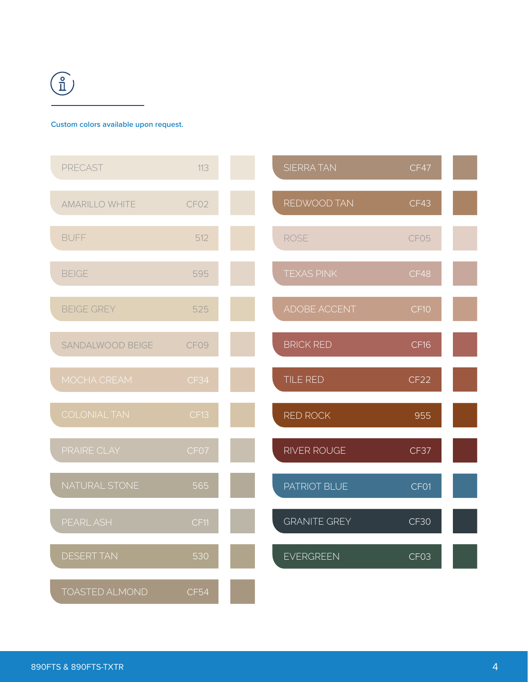

### **Custom colors available upon request.**

| PRECAST               | 113              | <b>SIERRA TAN</b>   | CF47             |  |
|-----------------------|------------------|---------------------|------------------|--|
| <b>AMARILLO WHITE</b> | CF <sub>02</sub> | REDWOOD TAN         | CF43             |  |
| <b>BUFF</b>           | 512              | <b>ROSE</b>         | CF05             |  |
| <b>BEIGE</b>          | 595              | <b>TEXAS PINK</b>   | CF48             |  |
| <b>BEIGE GREY</b>     | 525              | ADOBE ACCENT        | CF <sub>10</sub> |  |
| SANDALWOOD BEIGE      | CF09             | <b>BRICK RED</b>    | CF16             |  |
| MOCHA CREAM           | CF34             | TILE RED            | CF <sub>22</sub> |  |
| <b>COLONIAL TAN</b>   | CF13             | RED ROCK            | 955              |  |
| PRAIRE CLAY           | CF07             | RIVER ROUGE         | CF37             |  |
| NATURAL STONE         | 565              | PATRIOT BLUE        | CF01             |  |
| PEARL ASH             | CF11             | <b>GRANITE GREY</b> | CF30             |  |
| <b>DESERT TAN</b>     | 530              | <b>EVERGREEN</b>    | CF03             |  |
| <b>TOASTED ALMOND</b> | <b>CF54</b>      |                     |                  |  |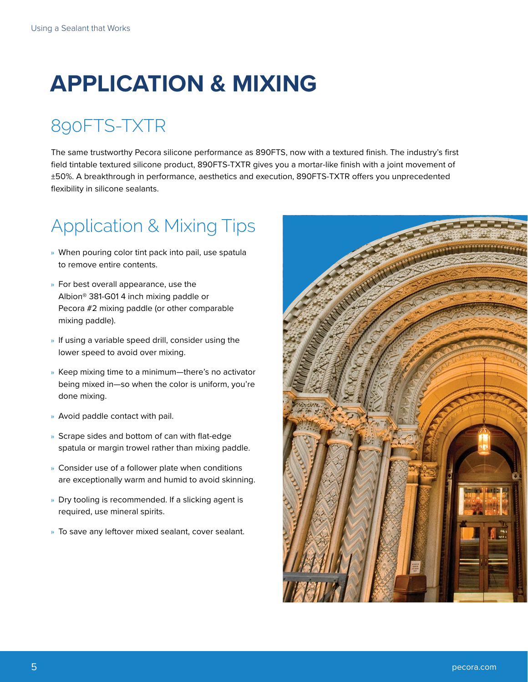## **APPLICATION & MIXING**

## 890FTS-TXTR

The same trustworthy Pecora silicone performance as 890FTS, now with a textured finish. The industry's first field tintable textured silicone product, 890FTS-TXTR gives you a mortar-like finish with a joint movement of ±50%. A breakthrough in performance, aesthetics and execution, 890FTS-TXTR offers you unprecedented flexibility in silicone sealants.

## Application & Mixing Tips

- » When pouring color tint pack into pail, use spatula to remove entire contents.
- » For best overall appearance, use the Albion® 381-G01 4 inch mixing paddle or Pecora #2 mixing paddle (or other comparable mixing paddle).
- » If using a variable speed drill, consider using the lower speed to avoid over mixing.
- » Keep mixing time to a minimum—there's no activator being mixed in—so when the color is uniform, you're done mixing.
- » Avoid paddle contact with pail.
- » Scrape sides and bottom of can with flat-edge spatula or margin trowel rather than mixing paddle.
- » Consider use of a follower plate when conditions are exceptionally warm and humid to avoid skinning.
- » Dry tooling is recommended. If a slicking agent is required, use mineral spirits.
- » To save any leftover mixed sealant, cover sealant.

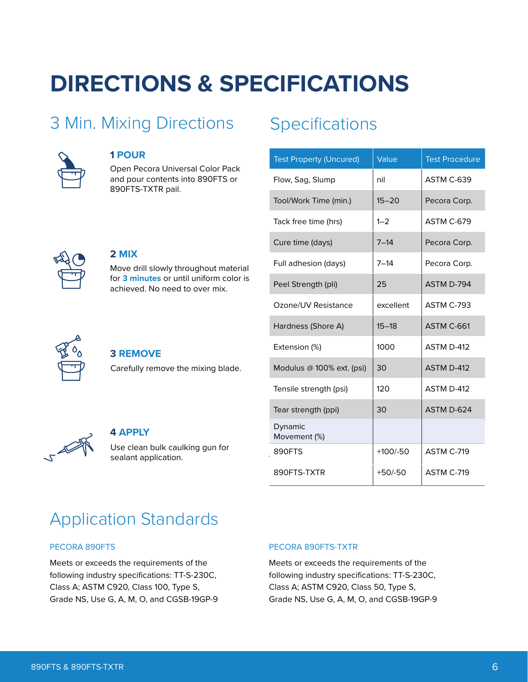## **DIRECTIONS & SPECIFICATIONS**

### 3 Min. Mixing Directions



### **1 POUR**

**2 MIX**

Open Pecora Universal Color Pack and pour contents into 890FTS or 890FTS-TXTR pail.

Move drill slowly throughout material for **3 minutes** or until uniform color is achieved. No need to over mix.

## Specifications

| <b>Test Property (Uncured)</b> | Value      | <b>Test Procedure</b> |
|--------------------------------|------------|-----------------------|
| Flow, Sag, Slump               | nil        | ASTM C-639            |
| Tool/Work Time (min.)          | $15 - 20$  | Pecora Corp.          |
| Tack free time (hrs)           | $1 - 2$    | ASTM C-679            |
| Cure time (days)               | $7 - 14$   | Pecora Corp.          |
| Full adhesion (days)           | $7 - 14$   | Pecora Corp.          |
| Peel Strength (pli)            | 25         | ASTM D-794            |
| Ozone/UV Resistance            | excellent  | ASTM C-793            |
| Hardness (Shore A)             | $15 - 18$  | ASTM C-661            |
| Extension (%)                  | 1000       | ASTM D-412            |
| Modulus @ 100% ext. (psi)      | 30         | ASTM D-412            |
| Tensile strength (psi)         | 120        | ASTM D-412            |
| Tear strength (ppi)            | 30         | ASTM D-624            |
| Dynamic<br>Movement (%)        |            |                       |
| 890FTS                         | $+100/-50$ | ASTM C-719            |
| 890FTS-TXTR                    | $+50/-50$  | ASTM C-719            |

### **3 REMOVE**

Carefully remove the mixing blade.



### **4 APPLY**

Use clean bulk caulking gun for sealant application.

## Application Standards

### PECORA 890FTS

Meets or exceeds the requirements of the following industry specifications: TT-S-230C, Class A; ASTM C920, Class 100, Type S, Grade NS, Use G, A, M, O, and CGSB-19GP-9

### PECORA 890FTS-TXTR

Meets or exceeds the requirements of the following industry specifications: TT-S-230C, Class A; ASTM C920, Class 50, Type S, Grade NS, Use G, A, M, O, and CGSB-19GP-9